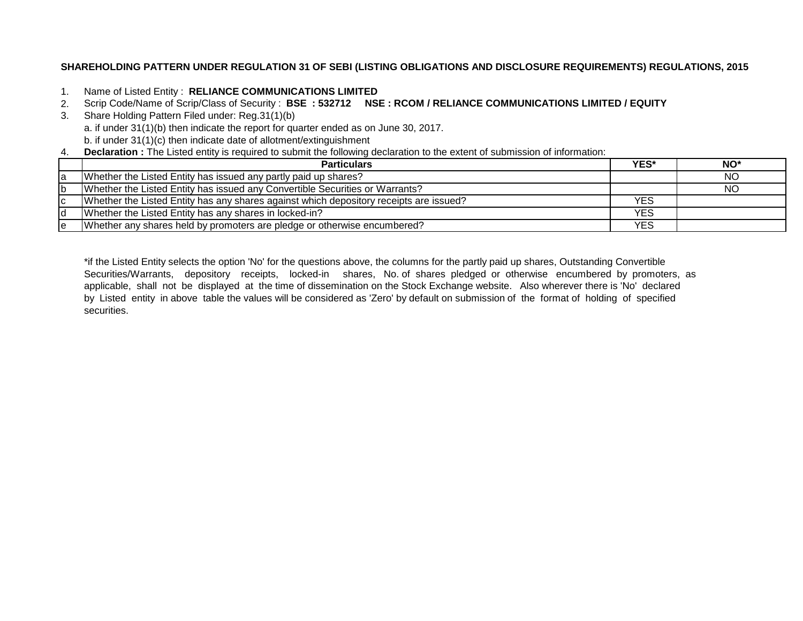# **SHAREHOLDING PATTERN UNDER REGULATION 31 OF SEBI (LISTING OBLIGATIONS AND DISCLOSURE REQUIREMENTS) REGULATIONS, 2015**

- 1. Name of Listed Entity : **RELIANCE COMMUNICATIONS LIMITED**
- 2. Scrip Code/Name of Scrip/Class of Security : **BSE : 532712 NSE : RCOM / RELIANCE COMMUNICATIONS LIMITED / EQUITY**
- 3. Share Holding Pattern Filed under: Reg.31(1)(b) a. if under 31(1)(b) then indicate the report for quarter ended as on June 30, 2017. b. if under 31(1)(c) then indicate date of allotment/extinguishment
- 4. **Declaration :** The Listed entity is required to submit the following declaration to the extent of submission of information:

|     | <b>Particulars</b>                                                                     | YES*       | NO <sup>*</sup> |
|-----|----------------------------------------------------------------------------------------|------------|-----------------|
| la  | Whether the Listed Entity has issued any partly paid up shares?                        |            | NO.             |
| Ib. | Whether the Listed Entity has issued any Convertible Securities or Warrants?           |            | NO.             |
| IС  | Whether the Listed Entity has any shares against which depository receipts are issued? | YES        |                 |
| Id  | Whether the Listed Entity has any shares in locked-in?                                 | <b>YES</b> |                 |
| ıе  | Whether any shares held by promoters are pledge or otherwise encumbered?               | YES        |                 |

\*if the Listed Entity selects the option 'No' for the questions above, the columns for the partly paid up shares, Outstanding Convertible Securities/Warrants, depository receipts, locked-in shares, No. of shares pledged or otherwise encumbered by promoters, as applicable, shall not be displayed at the time of dissemination on the Stock Exchange website. Also wherever there is 'No' declared by Listed entity in above table the values will be considered as 'Zero' by default on submission of the format of holding of specified securities.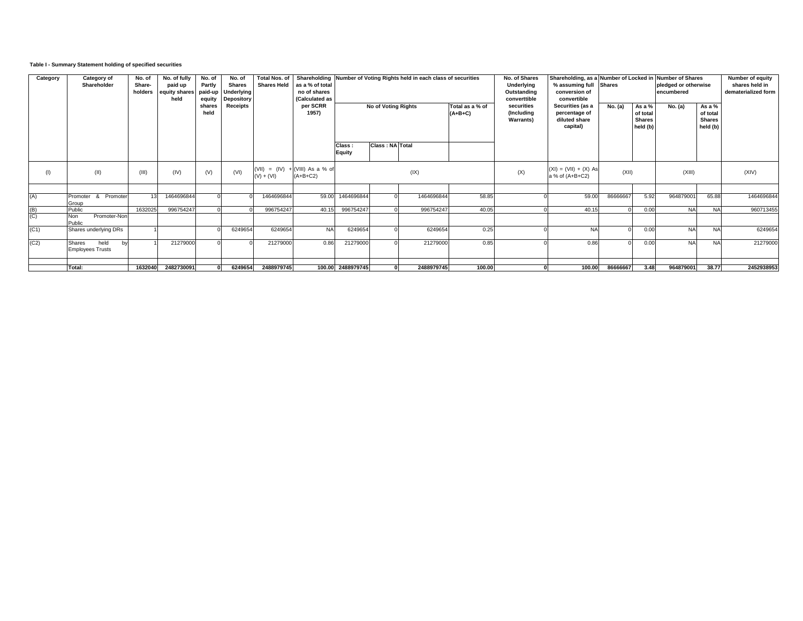## **Table I - Summary Statement holding of specified securities**

| Category | Category of<br>Shareholder                             | No. of<br>Share-<br>holders | No. of fully<br>paid up<br>equity shares<br>held | No. of<br>Partly<br>paid-up<br>equity | No. of<br><b>Shares</b><br>Underlying<br><b>Depository</b> | <b>Total Nos. of</b><br><b>Shares Held</b> | as a % of total<br>no of shares<br>(Calculated as |                     |                        | Shareholding Number of Voting Rights held in each class of securities |                                               | No. of Shares<br>Underlying<br>Outstanding<br>converttible     | Shareholding, as a Number of Locked in<br>% assuming full<br>conversion of<br>convertible | <b>Shares</b>                                   |         | <b>Number of Shares</b><br>pledged or otherwise<br>encumbered |           | Number of equity<br>shares held in<br>dematerialized form |
|----------|--------------------------------------------------------|-----------------------------|--------------------------------------------------|---------------------------------------|------------------------------------------------------------|--------------------------------------------|---------------------------------------------------|---------------------|------------------------|-----------------------------------------------------------------------|-----------------------------------------------|----------------------------------------------------------------|-------------------------------------------------------------------------------------------|-------------------------------------------------|---------|---------------------------------------------------------------|-----------|-----------------------------------------------------------|
|          |                                                        |                             |                                                  | shares<br>held                        | Receipts                                                   |                                            | per SCRR<br>1957)                                 | No of Voting Rights |                        | Total as a % of<br>$(A+B+C)$                                          | securities<br>(Including<br><b>Warrants</b> ) | Securities (as a<br>percentage of<br>diluted share<br>capital) | No. (a)                                                                                   | As a %<br>of total<br><b>Shares</b><br>held (b) | No. (a) | As a %<br>of total<br><b>Shares</b><br>held (b)               |           |                                                           |
|          |                                                        |                             |                                                  |                                       |                                                            |                                            |                                                   | Class:<br>Equity    | <b>Class: NA Total</b> |                                                                       |                                               |                                                                |                                                                                           |                                                 |         |                                                               |           |                                                           |
|          | (II)                                                   | (III)                       | (IV)                                             | (V)                                   | (VI)                                                       | $(V) + (V)$                                | $(VIII) = (IV) + (VIII) As a % of$<br>$(A+B+C2)$  |                     |                        | (IX)                                                                  |                                               | (X)                                                            | $(XI) = (VII) + (X) As$<br>a % of (A+B+C2)                                                | (XII)                                           |         | (XIII)                                                        |           | (XIV)                                                     |
|          |                                                        |                             |                                                  |                                       |                                                            |                                            |                                                   |                     |                        |                                                                       |                                               |                                                                |                                                                                           |                                                 |         |                                                               |           |                                                           |
| (A)      | Promoter & Promoter<br>Group                           | 13                          | 1464696844                                       |                                       |                                                            | 1464696844                                 | 59.00                                             | 1464696844          |                        | 1464696844                                                            | 58.85                                         |                                                                | 59.00                                                                                     | 86666667                                        | 5.92    | 964879001                                                     | 65.88     | 1464696844                                                |
| (B)      | Public                                                 | 1632025                     | 996754247                                        |                                       |                                                            | 996754247                                  | 40.15                                             | 996754247           |                        | 996754247                                                             | 40.05                                         |                                                                | 40.15                                                                                     |                                                 | 0.00    | <b>NA</b>                                                     | <b>NA</b> | 960713455                                                 |
| (C)      | Promoter-Non<br><b>Non</b><br>Public                   |                             |                                                  |                                       |                                                            |                                            |                                                   |                     |                        |                                                                       |                                               |                                                                |                                                                                           |                                                 |         |                                                               |           |                                                           |
| (C1)     | Shares underlying DRs                                  |                             |                                                  |                                       | 6249654                                                    | 6249654                                    | <b>NA</b>                                         | 6249654             |                        | 6249654                                                               | 0.25                                          |                                                                | <b>NA</b>                                                                                 |                                                 | 0.00    | <b>NA</b>                                                     | <b>NA</b> | 6249654                                                   |
| (C2)     | held<br><b>Shares</b><br>by<br><b>Employees Trusts</b> |                             | 21279000                                         |                                       |                                                            | 21279000                                   | 0.86                                              | 21279000            |                        | 21279000                                                              | 0.85                                          |                                                                | 0.86                                                                                      |                                                 | 0.00    | <b>NA</b>                                                     | <b>NA</b> | 21279000                                                  |
|          |                                                        |                             |                                                  |                                       |                                                            |                                            |                                                   |                     |                        |                                                                       |                                               |                                                                |                                                                                           |                                                 |         |                                                               |           |                                                           |
|          | Total:                                                 | 1632040                     | 2482730091                                       |                                       | 6249654                                                    | 2488979745                                 |                                                   | 100.00 2488979745   |                        | 2488979745                                                            | 100.00                                        |                                                                | 100.00                                                                                    | 86666667                                        | 3.48    | 964879001                                                     | 38.77     | 2452938953                                                |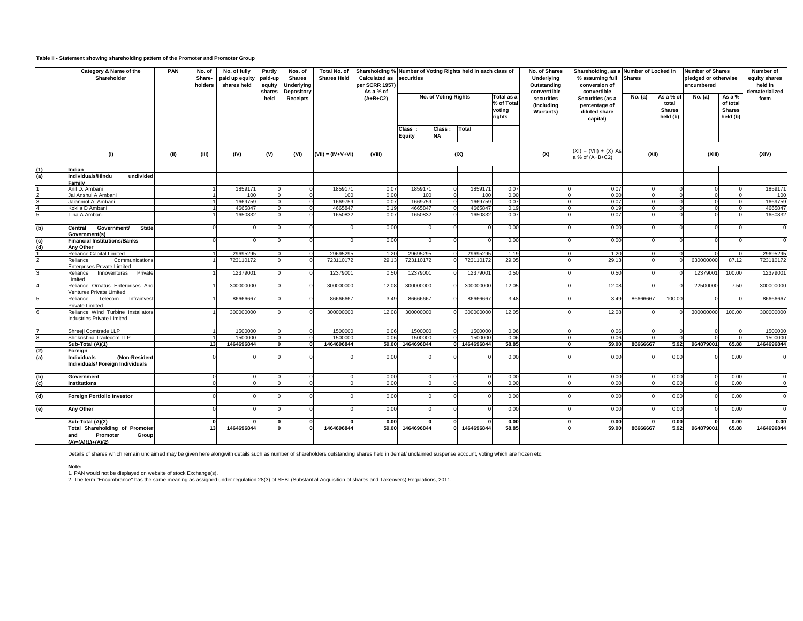#### **Table II - Statement showing shareholding pattern of the Promoter and Promoter Group**

|     | Category & Name of the<br>Shareholder                                   | PAN  | No. of<br>Share-<br>holders | No. of fully<br>paid up equity<br>shares held | Partly<br>paid-up<br>equity<br>shares | Nos. of<br><b>Shares</b><br><b>Underlying</b><br>Depository | Total No. of<br><b>Shares Held</b> | Shareholding % Number of Voting Rights held in each class of<br><b>Calculated as</b><br>per SCRR 1957)<br>As a % of | securities       |                      |            |                                             | No. of Shares<br>Underlying<br>Outstanding<br>converttible | Shareholding, as a Number of Locked in<br>% assuming full<br>conversion of<br>convertible | <b>Shares</b> |                                                 | <b>Number of Shares</b><br>pledged or otherwise<br>encumbered |                                                 | Number of<br>equity shares<br>held in<br>dematerialized |
|-----|-------------------------------------------------------------------------|------|-----------------------------|-----------------------------------------------|---------------------------------------|-------------------------------------------------------------|------------------------------------|---------------------------------------------------------------------------------------------------------------------|------------------|----------------------|------------|---------------------------------------------|------------------------------------------------------------|-------------------------------------------------------------------------------------------|---------------|-------------------------------------------------|---------------------------------------------------------------|-------------------------------------------------|---------------------------------------------------------|
|     |                                                                         |      |                             |                                               | held                                  | <b>Receipts</b>                                             |                                    | $(A+B+C2)$                                                                                                          |                  | No. of Voting Rights |            | Total as a<br>% of Tota<br>voting<br>rights | securities<br>(Including<br><b>Warrants)</b>               | Securities (as a<br>percentage of<br>diluted share<br>capital)                            | No. (a)       | As a % of<br>total<br><b>Shares</b><br>held (b) | No. (a)                                                       | As a %<br>of total<br><b>Shares</b><br>held (b) | form                                                    |
|     |                                                                         |      |                             |                                               |                                       |                                                             |                                    |                                                                                                                     | Class:<br>Equity | Class:<br><b>NA</b>  | Total      |                                             |                                                            |                                                                                           |               |                                                 |                                                               |                                                 |                                                         |
|     | (1)                                                                     | (II) | (III)                       | (IV)                                          | (V)                                   | (VI)                                                        | $(VII) = (IV+V+VI)$                | (VIII)                                                                                                              | (IX)             |                      |            | (X)                                         | $(XI) = (VII) + (X) As$<br>a % of (A+B+C2)                 | (XII)                                                                                     |               | (XIII)                                          |                                                               | (XIV)                                           |                                                         |
| (1) | Indian                                                                  |      |                             |                                               |                                       |                                                             |                                    |                                                                                                                     |                  |                      |            |                                             |                                                            |                                                                                           |               |                                                 |                                                               |                                                 |                                                         |
| (a) | Individuals/Hindu<br>undivided                                          |      |                             |                                               |                                       |                                                             |                                    |                                                                                                                     |                  |                      |            |                                             |                                                            |                                                                                           |               |                                                 |                                                               |                                                 |                                                         |
|     | Family                                                                  |      |                             |                                               |                                       |                                                             |                                    |                                                                                                                     |                  |                      |            |                                             |                                                            |                                                                                           |               |                                                 |                                                               |                                                 |                                                         |
|     | Anil D. Ambani                                                          |      |                             | 185917                                        |                                       |                                                             | 1859171                            | 0.07                                                                                                                | 1859171          |                      | 185917     | 0.07                                        |                                                            | 0.07                                                                                      |               |                                                 |                                                               |                                                 | 1859171                                                 |
|     | Jai Anshul A Ambani                                                     |      |                             | 100                                           | $\Omega$                              |                                                             | 100                                | 0.00                                                                                                                | 100              |                      | 100        | 0.00                                        |                                                            | 0.00                                                                                      | $\Omega$      | $\cap$                                          |                                                               |                                                 | 100                                                     |
|     | Jaianmol A. Ambani                                                      |      |                             | 166975                                        |                                       |                                                             | 1669759                            | 0.07                                                                                                                | 1669759          |                      | 166975     | 0.07                                        |                                                            | 0.07                                                                                      |               |                                                 |                                                               |                                                 | 1669759                                                 |
|     | Kokila D Ambani                                                         |      |                             | 466584                                        | $\Omega$                              |                                                             | 4665847                            | 0.19                                                                                                                | 4665847          |                      | 4665847    | 0.19                                        |                                                            | 0.19                                                                                      | $\Omega$      | $\Omega$                                        |                                                               |                                                 | 4665847                                                 |
|     | Tina A Ambani                                                           |      |                             | 1650832                                       |                                       |                                                             | 1650832                            | 0.07                                                                                                                | 1650832          |                      | 1650832    | 0.07                                        |                                                            | 0.07                                                                                      |               |                                                 |                                                               |                                                 | 1650832                                                 |
|     |                                                                         |      |                             |                                               |                                       |                                                             |                                    |                                                                                                                     |                  |                      |            |                                             |                                                            |                                                                                           |               |                                                 |                                                               |                                                 |                                                         |
| (b) | Government/<br><b>State</b><br>Central<br>Government(s)                 |      |                             |                                               |                                       |                                                             |                                    | 0.00                                                                                                                |                  |                      |            | 0.00                                        |                                                            | 0.00                                                                                      |               | £                                               |                                                               |                                                 | $\Omega$                                                |
| (c) | <b>Financial Institutions/Banks</b>                                     |      |                             |                                               |                                       |                                                             |                                    | 0.00                                                                                                                |                  |                      |            | 0.00                                        |                                                            | 0.00                                                                                      |               |                                                 |                                                               |                                                 | $\Omega$                                                |
| (d) | <b>Any Other</b>                                                        |      |                             |                                               |                                       |                                                             |                                    |                                                                                                                     |                  |                      |            |                                             |                                                            |                                                                                           |               |                                                 |                                                               |                                                 |                                                         |
|     | Reliance Capital Limited                                                |      |                             | 29695295                                      |                                       |                                                             | 29695295                           | 1.20                                                                                                                | 29695295         |                      | 29695295   | 1.19                                        |                                                            | 1.20                                                                                      |               |                                                 |                                                               |                                                 | 29695295                                                |
|     | Reliance<br>Communications<br><b>Enterprises Private Limited</b>        |      |                             | 723110172                                     |                                       |                                                             | 723110172                          | 29.13                                                                                                               | 723110172        |                      | 723110172  | 29.05                                       |                                                            | 29.13                                                                                     |               |                                                 | 630000000                                                     | 87.12                                           | 723110172                                               |
|     | Innoventures Private<br>Reliance<br>Limited                             |      |                             | 12379001                                      | $\Omega$                              |                                                             | 12379001                           | 0.50                                                                                                                | 12379001         |                      | 1237900    | 0.50                                        |                                                            | 0.50                                                                                      |               |                                                 | 1237900                                                       | 100.00                                          | 12379001                                                |
|     | Reliance Ornatus Enterprises And<br>Ventures Private Limited            |      |                             | 300000000                                     | $\Omega$                              |                                                             | 300000000                          | 12.08                                                                                                               | 300000000        |                      | 300000000  | 12.05                                       |                                                            | 12.08                                                                                     |               |                                                 | 22500000                                                      | 7.50                                            | 300000000                                               |
|     | Telecom<br>Infrainvest<br>Reliance<br>Private Limited                   |      |                             | 8666666                                       |                                       |                                                             | 86666667                           | 3.49                                                                                                                | 86666667         |                      | 8666666    | 3.48                                        |                                                            | 3.49                                                                                      | 86666667      | 100.00                                          |                                                               |                                                 | 86666667                                                |
|     | Reliance Wind Turbine Installators<br><b>Industries Private Limited</b> |      |                             | 300000000                                     | $\Omega$                              |                                                             | 300000000                          | 12.08                                                                                                               | 300000000        |                      | 300000000  | 12.05                                       |                                                            | 12.08                                                                                     |               |                                                 | 300000000                                                     | 100.00                                          | 300000000                                               |
|     |                                                                         |      |                             |                                               |                                       |                                                             |                                    |                                                                                                                     |                  |                      |            |                                             |                                                            |                                                                                           |               |                                                 |                                                               |                                                 |                                                         |
|     | Shreeii Comtrade LLP                                                    |      |                             | 1500000                                       | $\Omega$                              |                                                             | 1500000                            | 0.06                                                                                                                | 1500000          |                      | 1500000    | 0.06                                        |                                                            | 0.06                                                                                      | $\Omega$      |                                                 |                                                               |                                                 | 1500000                                                 |
|     | Shrikrishna Tradecom LLP                                                |      |                             | 150000                                        | $\Omega$                              | $\Omega$                                                    | 1500000                            | 0.06                                                                                                                | 150000           |                      | 1500000    | 0.06                                        |                                                            | 0.06                                                                                      | $\Omega$      | $\Omega$                                        |                                                               |                                                 | 1500000                                                 |
|     | Sub-Total (A)(1)                                                        |      | 13                          | 1464696844                                    | $\mathbf{0}$                          |                                                             | 1464696844                         | 59.00                                                                                                               | 1464696844       |                      | 1464696844 | 58.85                                       |                                                            | 59.00                                                                                     | 86666667      | 5.92                                            | 964879001                                                     | 65.88                                           | 1464696844                                              |
| (2) | Foreign                                                                 |      |                             |                                               |                                       |                                                             |                                    |                                                                                                                     |                  |                      |            |                                             |                                                            |                                                                                           |               |                                                 |                                                               |                                                 |                                                         |
| (a) | (Non-Resident<br>Individuals<br>Individuals/ Foreign Individuals        |      |                             |                                               |                                       |                                                             |                                    | 0.00                                                                                                                |                  |                      |            | 0.00                                        |                                                            | 0.00                                                                                      |               | 0.00                                            |                                                               | 0.00                                            |                                                         |
| (b) | <b>Government</b>                                                       |      |                             |                                               |                                       |                                                             |                                    | 0.00                                                                                                                |                  |                      | $\Omega$   | 0.00                                        |                                                            | 0.00                                                                                      |               | 0.00                                            |                                                               | 0.00                                            |                                                         |
| (c) | <b>Institutions</b>                                                     |      |                             |                                               |                                       |                                                             |                                    | 0.00                                                                                                                |                  |                      | $\Omega$   | 0.00                                        |                                                            | 0.00                                                                                      | $\Omega$      | 0.00                                            | $\Omega$                                                      | 0.00                                            | $\Omega$                                                |
|     |                                                                         |      |                             |                                               |                                       |                                                             |                                    |                                                                                                                     |                  |                      |            |                                             |                                                            |                                                                                           |               |                                                 |                                                               |                                                 |                                                         |
| (d) | Foreign Portfolio Investor                                              |      |                             |                                               |                                       |                                                             |                                    | 0.00                                                                                                                |                  |                      |            | 0.00                                        |                                                            | 0.00                                                                                      |               | 0.00                                            |                                                               | 0.00                                            |                                                         |
|     |                                                                         |      |                             |                                               |                                       |                                                             |                                    |                                                                                                                     |                  |                      |            |                                             |                                                            |                                                                                           |               |                                                 |                                                               |                                                 |                                                         |
| (e) | <b>Any Other</b>                                                        |      |                             |                                               |                                       |                                                             |                                    | 0.00                                                                                                                |                  |                      |            | 0.00<br>$\Omega$                            |                                                            | 0.00                                                                                      |               | 0.00                                            |                                                               | 0.00                                            |                                                         |
|     |                                                                         |      |                             |                                               |                                       |                                                             |                                    |                                                                                                                     |                  |                      |            |                                             |                                                            |                                                                                           |               |                                                 |                                                               |                                                 |                                                         |
|     | Sub-Total (A)(2)                                                        |      |                             |                                               |                                       |                                                             |                                    | 0.00                                                                                                                |                  |                      |            | 0.00                                        |                                                            | 0.00                                                                                      |               | 0.00                                            |                                                               | 0.00                                            | 0.00                                                    |
|     | <b>Total Shareholding of Promoter</b>                                   |      | 13                          | 1464696844                                    | $\mathbf{0}$                          |                                                             | 1464696844                         | 59.00                                                                                                               | 1464696844       |                      | 1464696844 | 58.85                                       |                                                            | 59.00                                                                                     | 86666667      | 5.92                                            | 964879001                                                     | 65.88                                           | 1464696844                                              |
|     | land<br>Promoter<br>Group<br>$(A)=(A)(1)+(A)(2)$                        |      |                             |                                               |                                       |                                                             |                                    |                                                                                                                     |                  |                      |            |                                             |                                                            |                                                                                           |               |                                                 |                                                               |                                                 |                                                         |

Details of shares which remain unclaimed may be given here alongwith details such as number of shareholders outstanding shares held in demat/ unclaimed suspense account, voting which are frozen etc.

**Note:**

1. PAN would not be displayed on website of stock Exchange(s).<br>2. The term "Encumbrance" has the same meaning as assigned under regulation 28(3) of SEBI (Substantial Acquisition of shares and Takeovers) Regulations, 2011.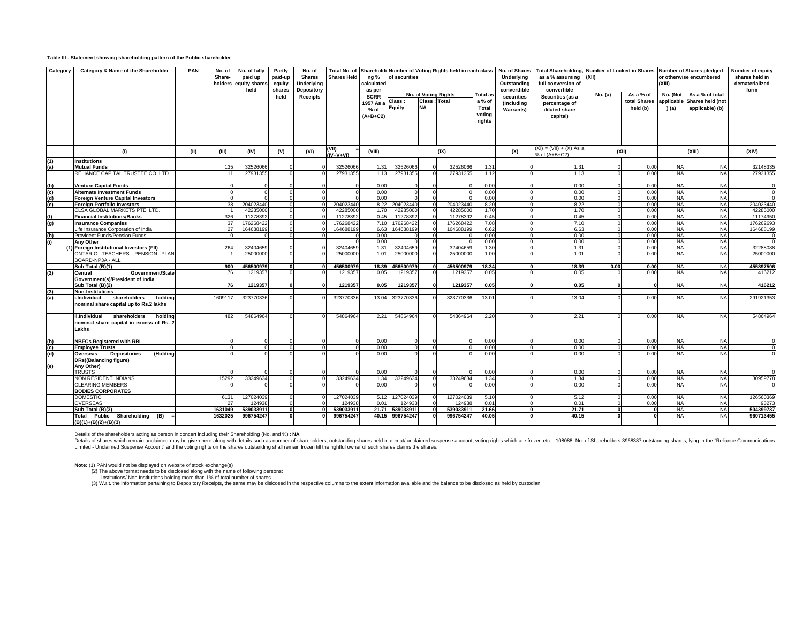#### **Table III - Statement showing shareholding pattern of the Public shareholder**

| Category                            | Category & Name of the Shareholder                                                            | PAN  | No. of<br>Share-<br>holders | No. of fully<br>paid up<br>equity share:<br>held | Partly<br>paid-up<br>equity<br>shares | No. of<br><b>Shares</b><br>Underlying<br>Depository | <b>Shares Held</b> | ng %<br>calculated<br>as per                     | of securities           |                           | Total No. of Shareholdi Number of Voting Rights held in each class |                                                        | No. of Shares<br>Underlying<br>Outstanding<br>converttible | Total Shareholding, Number of Locked in Shares Number of Shares pledged<br>as a % assuming<br>full conversion of<br>convertible | (XII)    |                                       | (XIII)                          | or otherwise encumbered                                | Number of equity<br>shares held in<br>dematerialized<br>form |
|-------------------------------------|-----------------------------------------------------------------------------------------------|------|-----------------------------|--------------------------------------------------|---------------------------------------|-----------------------------------------------------|--------------------|--------------------------------------------------|-------------------------|---------------------------|--------------------------------------------------------------------|--------------------------------------------------------|------------------------------------------------------------|---------------------------------------------------------------------------------------------------------------------------------|----------|---------------------------------------|---------------------------------|--------------------------------------------------------|--------------------------------------------------------------|
|                                     |                                                                                               |      |                             |                                                  | held                                  | <b>Receipts</b>                                     |                    | <b>SCRR</b><br>1957 As a<br>$%$ of<br>$(A+B+C2)$ | Class:<br><b>Equity</b> | Class: Total<br><b>NA</b> | <b>No. of Voting Rights</b>                                        | <b>Total</b> as<br>a % of<br>Total<br>voting<br>rights | securities<br>(Including<br><b>Warrants</b> )              | Securities (as a<br>percentage of<br>diluted share<br>capital)                                                                  | No. (a)  | As a % of<br>total Shares<br>held (b) | No. (Not<br>applicable<br>) (a) | As a % of total<br>Shares held (not<br>applicable) (b) |                                                              |
|                                     | (1)                                                                                           | (II) | (III)                       | (IV)                                             | (V)                                   | (VI)                                                | (VII)              | (VIII)                                           |                         |                           | (IX)                                                               |                                                        | (X)                                                        | $(XI) = (VII) + (X) As a$                                                                                                       |          | (X  )                                 |                                 | (XIII)                                                 | (XIV)                                                        |
|                                     | <b>Institutions</b>                                                                           |      |                             |                                                  |                                       |                                                     | (IV+V+VI)          |                                                  |                         |                           |                                                                    |                                                        |                                                            | % of (A+B+C2)                                                                                                                   |          |                                       |                                 |                                                        |                                                              |
| (a)                                 | <b>Mutual Funds</b>                                                                           |      | 135                         | 32526066                                         |                                       |                                                     | 32526066           | 1.31                                             | 32526066                |                           | 32526066                                                           | 1.31                                                   |                                                            | 1.31                                                                                                                            |          | 0.00                                  | <b>NA</b>                       | <b>NA</b>                                              | 32148335                                                     |
|                                     | RELIANCE CAPITAL TRUSTEE CO. LTD                                                              |      |                             | 27931355                                         |                                       |                                                     | 27931355           | 1.13                                             | 27931355                |                           | 27931355                                                           | 1.12                                                   |                                                            | 1.13                                                                                                                            |          | 0.00                                  | <b>NA</b>                       | <b>NA</b>                                              | 27931355                                                     |
| (b)                                 | <b>Venture Capital Funds</b>                                                                  |      |                             |                                                  |                                       |                                                     |                    | 0.00                                             |                         |                           |                                                                    | 0.00                                                   |                                                            | 0.00                                                                                                                            |          | 0.00                                  | <b>NA</b>                       | <b>NA</b>                                              |                                                              |
| (c)                                 | <b>Alternate Investment Funds</b>                                                             |      |                             |                                                  |                                       |                                                     |                    | 0.00                                             |                         |                           |                                                                    | 0.00                                                   |                                                            | 0.00                                                                                                                            |          | 0.00                                  | <b>NA</b>                       | <b>NA</b>                                              |                                                              |
| (d)                                 | <b>Foreign Venture Capital Investors</b>                                                      |      |                             |                                                  |                                       |                                                     |                    | 0.00                                             |                         |                           |                                                                    | 0.00                                                   |                                                            | 0.00                                                                                                                            |          | 0.00                                  | <b>NA</b>                       | <b>NA</b>                                              |                                                              |
| (e)                                 | <b>Foreign Portfolio Investors</b>                                                            |      | 138                         | 204023440                                        |                                       |                                                     | 204023440          | 8.22                                             | 204023440               |                           | 20402344                                                           | 8.20                                                   |                                                            | 8.22                                                                                                                            | $\Omega$ | 0.00                                  | <b>NA</b>                       | <b>NA</b>                                              | 204023440                                                    |
|                                     | CLSA GLOBAL MARKETS PTE. LTD.                                                                 |      |                             | 42285000                                         | $\Omega$                              |                                                     | 42285000           | 1.70                                             | 42285000                |                           | 4228500                                                            | 1.70                                                   |                                                            | 1.70                                                                                                                            | $\Omega$ | 0.00                                  | <b>NA</b>                       | <b>NA</b>                                              | 42285000                                                     |
|                                     | <b>Financial Institutions/Banks</b>                                                           |      | 326                         | 11278392                                         | $\Omega$                              |                                                     | 11278392           | 0.45                                             | 1127839                 |                           | 1127839                                                            | 0.45                                                   |                                                            | 0.45                                                                                                                            |          | 0.00                                  | <b>NA</b>                       | <b>NA</b>                                              | 11174950                                                     |
| (q)                                 | <b>Insurance Companies</b>                                                                    |      | 37                          | 17626842                                         | $\Omega$                              |                                                     | 176268422          | 7.10                                             | 17626842                |                           | 17626842                                                           | 7.08                                                   |                                                            | 7.10                                                                                                                            | $\Omega$ | 0.00                                  | <b>NA</b>                       | <b>NA</b>                                              | 17626269                                                     |
|                                     | life Insurance Corporation of India                                                           |      | 27                          | 164688199                                        |                                       |                                                     | 164688199          | 6.63                                             | 16468819                |                           | 16468819                                                           | 6.62                                                   |                                                            | 6.63                                                                                                                            |          | 0.00                                  | <b>NA</b>                       | <b>NA</b>                                              | 164688199                                                    |
| (h)                                 | Provident Funds/Pension Funds                                                                 |      |                             |                                                  |                                       |                                                     |                    | 0.00                                             |                         |                           |                                                                    | 0.00                                                   |                                                            | 0.00                                                                                                                            |          | 0.00                                  | <b>NA</b>                       | <b>NA</b>                                              |                                                              |
| (i)                                 | Any Other                                                                                     |      |                             |                                                  |                                       |                                                     |                    | 0.00                                             |                         |                           |                                                                    | 0.00                                                   |                                                            | 0.00                                                                                                                            |          | 0.00                                  | <b>NA</b>                       | <b>NA</b>                                              |                                                              |
|                                     | (1) Foreign Institutional Investors (FII)                                                     |      | 264                         | 3240465                                          |                                       |                                                     | 32404659           | 1.31                                             | 32404659                |                           | 3240465                                                            | 1,30                                                   |                                                            | 1.31                                                                                                                            |          | 0.00                                  | <b>NA</b>                       | <b>NA</b>                                              | 32288088                                                     |
|                                     | ONTARIO TEACHERS' PENSION PLAN<br>BOARD-NP3A - ALL                                            |      |                             | 25000000                                         |                                       |                                                     | 25000000           | 1.01                                             | 2500000                 |                           | 2500000                                                            | 1.00                                                   |                                                            | 1.01                                                                                                                            |          | 0.00                                  | <b>NA</b>                       | <b>NA</b>                                              | 2500000                                                      |
|                                     | Sub Total (B)(1)                                                                              |      | 900                         | 456500979                                        | $\mathbf{0}$                          |                                                     | 456500979          | 18.39                                            | 456500979               |                           | 45650097                                                           | 18.34                                                  |                                                            | 18.39                                                                                                                           | 0.00     | 0.00                                  | <b>NA</b>                       | <b>NA</b>                                              | 455897506                                                    |
| (2)                                 | Central<br>Government/State<br>Government(s)/President of India                               |      | 76                          | 1219357                                          |                                       |                                                     | 1219357            | 0.05                                             | 1219357                 |                           | 121935                                                             | 0.05                                                   |                                                            | 0.05                                                                                                                            |          | 0.00                                  | <b>NA</b>                       | <b>NA</b>                                              | 416212                                                       |
|                                     | Sub Total (B)(2)                                                                              |      | 76                          | 1219357                                          | $\Omega$                              |                                                     | 1219357            | 0.05                                             | 1219357                 |                           | 1219357                                                            | 0.05                                                   | Û                                                          | 0.05                                                                                                                            | $\Omega$ |                                       | <b>NA</b>                       | <b>NA</b>                                              | 416212                                                       |
| (3)                                 | <b>Non-Institutions</b>                                                                       |      |                             |                                                  |                                       |                                                     |                    |                                                  |                         |                           |                                                                    |                                                        |                                                            |                                                                                                                                 |          |                                       |                                 |                                                        |                                                              |
| (a)                                 | shareholders<br>Individual.<br>holding<br>nominal share capital up to Rs.2 lakhs              |      | 1609117                     | 323770336                                        |                                       |                                                     | 323770336          | 13.04                                            | 323770336               |                           | 323770336                                                          | 13.01                                                  |                                                            | 13.04                                                                                                                           |          | 0.00                                  | <b>NA</b>                       | <b>NA</b>                                              | 291921353                                                    |
|                                     | ii.Individual<br>shareholders<br>holdina<br>nominal share capital in excess of Rs. 2<br>Lakhs |      | 482                         | 54864964                                         |                                       |                                                     | 54864964           | 2.21                                             | 54864964                |                           | 54864964                                                           | 2.20                                                   |                                                            | 2.21                                                                                                                            |          | 0.00                                  | <b>NA</b>                       | <b>NA</b>                                              | 54864964                                                     |
|                                     |                                                                                               |      |                             |                                                  |                                       |                                                     |                    |                                                  |                         |                           |                                                                    |                                                        |                                                            |                                                                                                                                 |          |                                       |                                 |                                                        |                                                              |
| (b)                                 | <b>NBFCs Registered with RBI</b>                                                              |      |                             |                                                  |                                       |                                                     |                    | 0.00                                             |                         |                           |                                                                    | 0.00                                                   |                                                            | 0.00                                                                                                                            |          | 0.00                                  | <b>NA</b>                       | <b>NA</b>                                              |                                                              |
| $\frac{\mathsf{(c)}}{\mathsf{(d)}}$ | <b>Emplovee Trusts</b>                                                                        |      |                             |                                                  |                                       |                                                     |                    | 0.00                                             |                         |                           |                                                                    | 0.00                                                   |                                                            | 0.00                                                                                                                            |          | 0.00                                  | <b>NA</b>                       | <b>NA</b>                                              |                                                              |
|                                     | Overseas<br><b>Depositories</b><br>(Holding<br>DRs)(Balancing figure)                         |      |                             |                                                  |                                       |                                                     |                    | 0.00                                             |                         |                           |                                                                    | 0.00                                                   |                                                            | 0.00                                                                                                                            |          | 0.00                                  | <b>NA</b>                       | <b>NA</b>                                              |                                                              |
| (e)                                 | Any Other)                                                                                    |      |                             |                                                  |                                       |                                                     |                    |                                                  |                         |                           |                                                                    |                                                        |                                                            |                                                                                                                                 |          |                                       |                                 |                                                        |                                                              |
|                                     | <b>TRUSTS</b>                                                                                 |      |                             |                                                  |                                       |                                                     |                    | 0.00                                             |                         |                           |                                                                    | 0.00                                                   |                                                            | 0.00                                                                                                                            |          | 0.00                                  | <b>NA</b>                       | <b>NA</b>                                              |                                                              |
|                                     | NON RESIDENT INDIANS                                                                          |      | 15292                       | 33249634                                         |                                       |                                                     | 33249634           | 1.34                                             | 33249634                |                           | 3324963                                                            | 1.34                                                   |                                                            | 1.34                                                                                                                            |          | 0.00                                  | <b>NA</b>                       | <b>NA</b>                                              | 30959778                                                     |
|                                     | CLEARING MEMBERS                                                                              |      |                             |                                                  |                                       |                                                     |                    | 0.00                                             |                         |                           |                                                                    | 0.00                                                   |                                                            | 0.00                                                                                                                            |          | 0.00                                  | <b>NA</b>                       | <b>NA</b>                                              |                                                              |
|                                     | <b>BODIES CORPORATES</b>                                                                      |      |                             |                                                  |                                       |                                                     |                    |                                                  |                         |                           |                                                                    |                                                        |                                                            |                                                                                                                                 |          |                                       |                                 |                                                        |                                                              |
|                                     | <b>DOMESTIC</b>                                                                               |      | 6131                        | 127024039                                        |                                       |                                                     | 127024039          | 5.12                                             | 12702403                |                           | 12702403                                                           | 5.10                                                   |                                                            | 5.12                                                                                                                            |          | 0.00                                  | <b>NA</b>                       | <b>NA</b>                                              | 126560369                                                    |
|                                     | OVERSEAS                                                                                      |      | -27                         | 124938                                           | $\Omega$                              |                                                     | 12493              | 0.01                                             | 12493                   |                           | 12493                                                              | 0.01                                                   |                                                            | 0.01                                                                                                                            | $\Omega$ | 0.00                                  | <b>NA</b>                       | <b>NA</b>                                              | 9327                                                         |
|                                     | Sub Total (B)(3)                                                                              |      | 1631049                     | 539033911                                        | $\Omega$                              |                                                     | 539033911          | 21.71                                            | 539033911               |                           | 539033911                                                          | 21.66                                                  |                                                            | 21.71                                                                                                                           | $\Omega$ |                                       | <b>NA</b>                       | <b>NA</b>                                              | 504399737                                                    |
|                                     | Total Public Shareholding (B)<br>$(B)(1)+(B)(2)+(B)(3)$                                       |      | 1632025                     | 996754247                                        |                                       |                                                     | 996754247          | 40.15                                            | 996754247               |                           | 996754247                                                          | 40.05                                                  |                                                            | 40.15                                                                                                                           |          |                                       | <b>NA</b>                       | <b>NA</b>                                              | 960713455                                                    |

Details of the shareholders acting as person in concert including their Shareholding (No. and %) : **NA**

Details of shares which remain unclaimed may be given here along with details such as number of shareholders, outstanding shares held in demat/ unclaimed suspense account, voting rights which are frozen etc. : 108088 No. o

Note: (1) PAN would not be displayed on website of stock exchange(s)<br>(2) The above format needs to be disclosed along with the name of following persons:<br>Institutions/ Non Institutions holding more than 1% of total number